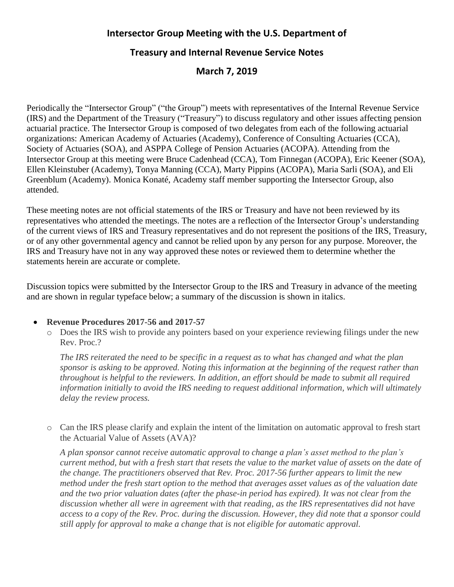## **Intersector Group Meeting with the U.S. Department of**

## **Treasury and Internal Revenue Service Notes**

# **March 7, 2019**

Periodically the "Intersector Group" ("the Group") meets with representatives of the Internal Revenue Service (IRS) and the Department of the Treasury ("Treasury") to discuss regulatory and other issues affecting pension actuarial practice. The Intersector Group is composed of two delegates from each of the following actuarial organizations: American Academy of Actuaries (Academy), Conference of Consulting Actuaries (CCA), Society of Actuaries (SOA), and ASPPA College of Pension Actuaries (ACOPA). Attending from the Intersector Group at this meeting were Bruce Cadenhead (CCA), Tom Finnegan (ACOPA), Eric Keener (SOA), Ellen Kleinstuber (Academy), Tonya Manning (CCA), Marty Pippins (ACOPA), Maria Sarli (SOA), and Eli Greenblum (Academy). Monica Konaté, Academy staff member supporting the Intersector Group, also attended.

These meeting notes are not official statements of the IRS or Treasury and have not been reviewed by its representatives who attended the meetings. The notes are a reflection of the Intersector Group's understanding of the current views of IRS and Treasury representatives and do not represent the positions of the IRS, Treasury, or of any other governmental agency and cannot be relied upon by any person for any purpose. Moreover, the IRS and Treasury have not in any way approved these notes or reviewed them to determine whether the statements herein are accurate or complete.

Discussion topics were submitted by the Intersector Group to the IRS and Treasury in advance of the meeting and are shown in regular typeface below; a summary of the discussion is shown in italics.

#### • **Revenue Procedures 2017-56 and 2017-57**

o Does the IRS wish to provide any pointers based on your experience reviewing filings under the new Rev. Proc.?

*The IRS reiterated the need to be specific in a request as to what has changed and what the plan sponsor is asking to be approved. Noting this information at the beginning of the request rather than throughout is helpful to the reviewers. In addition, an effort should be made to submit all required information initially to avoid the IRS needing to request additional information, which will ultimately delay the review process.* 

o Can the IRS please clarify and explain the intent of the limitation on automatic approval to fresh start the Actuarial Value of Assets (AVA)?

*A plan sponsor cannot receive automatic approval to change a plan's asset method to the plan's current method, but with a fresh start that resets the value to the market value of assets on the date of the change. The practitioners observed that Rev. Proc. 2017-56 further appears to limit the new method under the fresh start option to the method that averages asset values as of the valuation date and the two prior valuation dates (after the phase-in period has expired). It was not clear from the discussion whether all were in agreement with that reading, as the IRS representatives did not have access to a copy of the Rev. Proc. during the discussion. However, they did note that a sponsor could still apply for approval to make a change that is not eligible for automatic approval.*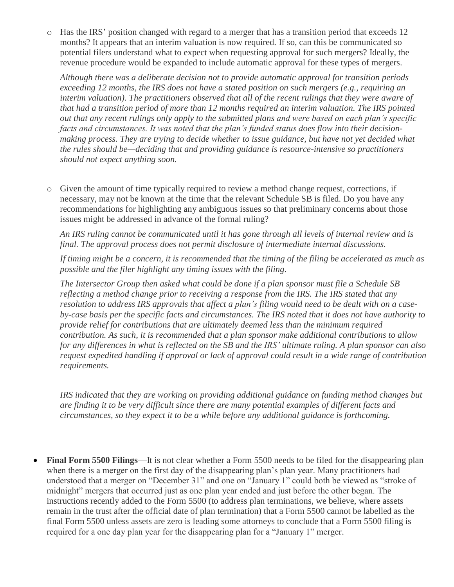o Has the IRS' position changed with regard to a merger that has a transition period that exceeds 12 months? It appears that an interim valuation is now required. If so, can this be communicated so potential filers understand what to expect when requesting approval for such mergers? Ideally, the revenue procedure would be expanded to include automatic approval for these types of mergers.

*Although there was a deliberate decision not to provide automatic approval for transition periods exceeding 12 months, the IRS does not have a stated position on such mergers (e.g., requiring an interim valuation). The practitioners observed that all of the recent rulings that they were aware of that had a transition period of more than 12 months required an interim valuation. The IRS pointed out that any recent rulings only apply to the submitted plans and were based on each plan's specific facts and circumstances. It was noted that the plan's funded status does flow into their decisionmaking process. They are trying to decide whether to issue guidance, but have not yet decided what the rules should be—deciding that and providing guidance is resource-intensive so practitioners should not expect anything soon.* 

o Given the amount of time typically required to review a method change request, corrections, if necessary, may not be known at the time that the relevant Schedule SB is filed. Do you have any recommendations for highlighting any ambiguous issues so that preliminary concerns about those issues might be addressed in advance of the formal ruling?

*An IRS ruling cannot be communicated until it has gone through all levels of internal review and is final. The approval process does not permit disclosure of intermediate internal discussions.* 

*If timing might be a concern, it is recommended that the timing of the filing be accelerated as much as possible and the filer highlight any timing issues with the filing.* 

*The Intersector Group then asked what could be done if a plan sponsor must file a Schedule SB reflecting a method change prior to receiving a response from the IRS. The IRS stated that any resolution to address IRS approvals that affect a plan's filing would need to be dealt with on a caseby-case basis per the specific facts and circumstances. The IRS noted that it does not have authority to provide relief for contributions that are ultimately deemed less than the minimum required contribution. As such, it is recommended that a plan sponsor make additional contributions to allow for any differences in what is reflected on the SB and the IRS' ultimate ruling. A plan sponsor can also request expedited handling if approval or lack of approval could result in a wide range of contribution requirements.*

*IRS indicated that they are working on providing additional guidance on funding method changes but are finding it to be very difficult since there are many potential examples of different facts and circumstances, so they expect it to be a while before any additional guidance is forthcoming.*

• **Final Form 5500 Filings**—It is not clear whether a Form 5500 needs to be filed for the disappearing plan when there is a merger on the first day of the disappearing plan's plan year. Many practitioners had understood that a merger on "December 31" and one on "January 1" could both be viewed as "stroke of midnight" mergers that occurred just as one plan year ended and just before the other began. The instructions recently added to the Form 5500 (to address plan terminations, we believe, where assets remain in the trust after the official date of plan termination) that a Form 5500 cannot be labelled as the final Form 5500 unless assets are zero is leading some attorneys to conclude that a Form 5500 filing is required for a one day plan year for the disappearing plan for a "January 1" merger.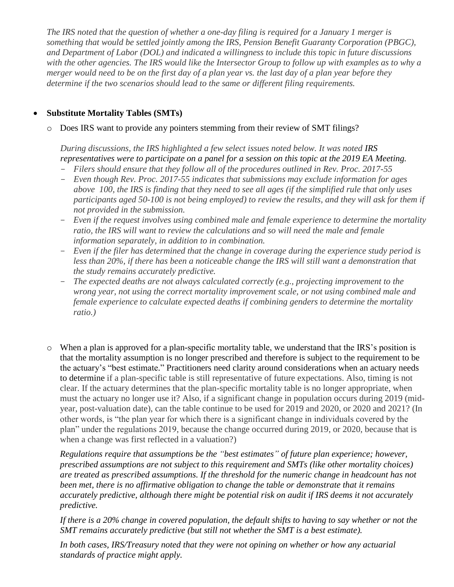*The IRS noted that the question of whether a one-day filing is required for a January 1 merger is something that would be settled jointly among the IRS, Pension Benefit Guaranty Corporation (PBGC), and Department of Labor (DOL) and indicated a willingness to include this topic in future discussions with the other agencies. The IRS would like the Intersector Group to follow up with examples as to why a merger would need to be on the first day of a plan year vs. the last day of a plan year before they determine if the two scenarios should lead to the same or different filing requirements.*

### • **Substitute Mortality Tables (SMTs)**

o Does IRS want to provide any pointers stemming from their review of SMT filings?

*During discussions, the IRS highlighted a few select issues noted below. It was noted IRS representatives were to participate on a panel for a session on this topic at the 2019 EA Meeting.*

- *Filers should ensure that they follow all of the procedures outlined in Rev. Proc. 2017-55*
- *Even though Rev. Proc. 2017-55 indicates that submissions may exclude information for ages above 100, the IRS is finding that they need to see all ages (if the simplified rule that only uses participants aged 50-100 is not being employed) to review the results, and they will ask for them if not provided in the submission.*
- *Even if the request involves using combined male and female experience to determine the mortality ratio, the IRS will want to review the calculations and so will need the male and female information separately, in addition to in combination.*
- *Even if the filer has determined that the change in coverage during the experience study period is less than 20%, if there has been a noticeable change the IRS will still want a demonstration that the study remains accurately predictive.*
- *The expected deaths are not always calculated correctly (e.g., projecting improvement to the wrong year, not using the correct mortality improvement scale, or not using combined male and female experience to calculate expected deaths if combining genders to determine the mortality ratio.)*
- o When a plan is approved for a plan-specific mortality table, we understand that the IRS's position is that the mortality assumption is no longer prescribed and therefore is subject to the requirement to be the actuary's "best estimate." Practitioners need clarity around considerations when an actuary needs to determine if a plan-specific table is still representative of future expectations. Also, timing is not clear. If the actuary determines that the plan-specific mortality table is no longer appropriate, when must the actuary no longer use it? Also, if a significant change in population occurs during 2019 (midyear, post-valuation date), can the table continue to be used for 2019 and 2020, or 2020 and 2021? (In other words, is "the plan year for which there is a significant change in individuals covered by the plan" under the regulations 2019, because the change occurred during 2019, or 2020, because that is when a change was first reflected in a valuation?)

*Regulations require that assumptions be the "best estimates" of future plan experience; however, prescribed assumptions are not subject to this requirement and SMTs (like other mortality choices) are treated as prescribed assumptions. If the threshold for the numeric change in headcount has not been met, there is no affirmative obligation to change the table or demonstrate that it remains accurately predictive, although there might be potential risk on audit if IRS deems it not accurately predictive.*

*If there is a 20% change in covered population, the default shifts to having to say whether or not the SMT remains accurately predictive (but still not whether the SMT is a best estimate).*

*In both cases, IRS/Treasury noted that they were not opining on whether or how any actuarial standards of practice might apply.*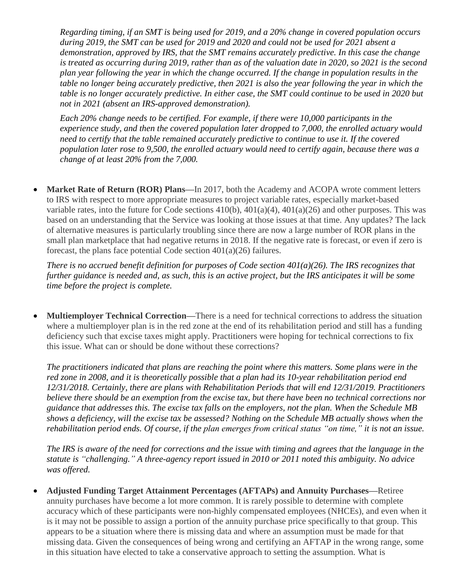*Regarding timing, if an SMT is being used for 2019, and a 20% change in covered population occurs during 2019, the SMT can be used for 2019 and 2020 and could not be used for 2021 absent a demonstration, approved by IRS, that the SMT remains accurately predictive. In this case the change is treated as occurring during 2019, rather than as of the valuation date in 2020, so 2021 is the second plan year following the year in which the change occurred. If the change in population results in the table no longer being accurately predictive, then 2021 is also the year following the year in which the table is no longer accurately predictive. In either case, the SMT could continue to be used in 2020 but not in 2021 (absent an IRS-approved demonstration).*

*Each 20% change needs to be certified. For example, if there were 10,000 participants in the experience study, and then the covered population later dropped to 7,000, the enrolled actuary would need to certify that the table remained accurately predictive to continue to use it. If the covered population later rose to 9,500, the enrolled actuary would need to certify again, because there was a change of at least 20% from the 7,000.*

• **Market Rate of Return (ROR) Plans—**In 2017, both the Academy and ACOPA wrote comment letters to IRS with respect to more appropriate measures to project variable rates, especially market-based variable rates, into the future for Code sections 410(b), 401(a)(4), 401(a)(26) and other purposes. This was based on an understanding that the Service was looking at those issues at that time. Any updates? The lack of alternative measures is particularly troubling since there are now a large number of ROR plans in the small plan marketplace that had negative returns in 2018. If the negative rate is forecast, or even if zero is forecast, the plans face potential Code section 401(a)(26) failures.

*There is no accrued benefit definition for purposes of Code section 401(a)(26). The IRS recognizes that further guidance is needed and, as such, this is an active project, but the IRS anticipates it will be some time before the project is complete.*

• **Multiemployer Technical Correction—There is a need for technical corrections to address the situation** where a multiemployer plan is in the red zone at the end of its rehabilitation period and still has a funding deficiency such that excise taxes might apply. Practitioners were hoping for technical corrections to fix this issue. What can or should be done without these corrections?

*The practitioners indicated that plans are reaching the point where this matters. Some plans were in the red zone in 2008, and it is theoretically possible that a plan had its 10-year rehabilitation period end 12/31/2018. Certainly, there are plans with Rehabilitation Periods that will end 12/31/2019. Practitioners believe there should be an exemption from the excise tax, but there have been no technical corrections nor guidance that addresses this. The excise tax falls on the employers, not the plan. When the Schedule MB shows a deficiency, will the excise tax be assessed? Nothing on the Schedule MB actually shows when the rehabilitation period ends. Of course, if the plan emerges from critical status "on time," it is not an issue.*

*The IRS is aware of the need for corrections and the issue with timing and agrees that the language in the statute is "challenging." A three-agency report issued in 2010 or 2011 noted this ambiguity. No advice was offered.*

• **Adjusted Funding Target Attainment Percentages (AFTAPs) and Annuity Purchases—**Retiree annuity purchases have become a lot more common. It is rarely possible to determine with complete accuracy which of these participants were non-highly compensated employees (NHCEs), and even when it is it may not be possible to assign a portion of the annuity purchase price specifically to that group. This appears to be a situation where there is missing data and where an assumption must be made for that missing data. Given the consequences of being wrong and certifying an AFTAP in the wrong range, some in this situation have elected to take a conservative approach to setting the assumption. What is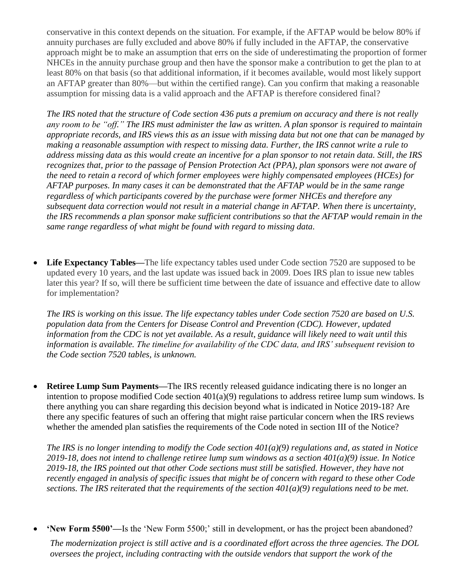conservative in this context depends on the situation. For example, if the AFTAP would be below 80% if annuity purchases are fully excluded and above 80% if fully included in the AFTAP, the conservative approach might be to make an assumption that errs on the side of underestimating the proportion of former NHCEs in the annuity purchase group and then have the sponsor make a contribution to get the plan to at least 80% on that basis (so that additional information, if it becomes available, would most likely support an AFTAP greater than 80%—but within the certified range). Can you confirm that making a reasonable assumption for missing data is a valid approach and the AFTAP is therefore considered final?

*The IRS noted that the structure of Code section 436 puts a premium on accuracy and there is not really any room to be "off." The IRS must administer the law as written. A plan sponsor is required to maintain appropriate records, and IRS views this as an issue with missing data but not one that can be managed by making a reasonable assumption with respect to missing data. Further, the IRS cannot write a rule to address missing data as this would create an incentive for a plan sponsor to not retain data. Still, the IRS recognizes that, prior to the passage of Pension Protection Act (PPA), plan sponsors were not aware of the need to retain a record of which former employees were highly compensated employees (HCEs) for AFTAP purposes. In many cases it can be demonstrated that the AFTAP would be in the same range regardless of which participants covered by the purchase were former NHCEs and therefore any subsequent data correction would not result in a material change in AFTAP. When there is uncertainty, the IRS recommends a plan sponsor make sufficient contributions so that the AFTAP would remain in the same range regardless of what might be found with regard to missing data.*

• Life Expectancy Tables—The life expectancy tables used under Code section 7520 are supposed to be updated every 10 years, and the last update was issued back in 2009. Does IRS plan to issue new tables later this year? If so, will there be sufficient time between the date of issuance and effective date to allow for implementation?

*The IRS is working on this issue. The life expectancy tables under Code section 7520 are based on U.S. population data from the Centers for Disease Control and Prevention (CDC). However, updated information from the CDC is not yet available. As a result, guidance will likely need to wait until this information is available. The timeline for availability of the CDC data, and IRS' subsequent revision to the Code section 7520 tables, is unknown.*

• **Retiree Lump Sum Payments—**The IRS recently released guidance indicating there is no longer an intention to propose modified Code section  $401(a)(9)$  regulations to address retiree lump sum windows. Is there anything you can share regarding this decision beyond what is indicated in Notice 2019-18? Are there any specific features of such an offering that might raise particular concern when the IRS reviews whether the amended plan satisfies the requirements of the Code noted in section III of the Notice?

*The IRS is no longer intending to modify the Code section 401(a)(9) regulations and, as stated in Notice 2019-18, does not intend to challenge retiree lump sum windows as a section 401(a)(9) issue. In Notice 2019-18, the IRS pointed out that other Code sections must still be satisfied. However, they have not recently engaged in analysis of specific issues that might be of concern with regard to these other Code sections. The IRS reiterated that the requirements of the section 401(a)(9) regulations need to be met.*

• **'New Form 5500'—**Is the 'New Form 5500;' still in development, or has the project been abandoned?

*The modernization project is still active and is a coordinated effort across the three agencies. The DOL oversees the project, including contracting with the outside vendors that support the work of the*